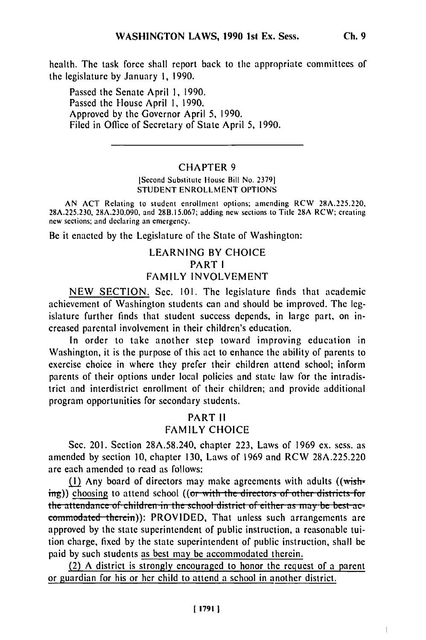health. The task force shall report back to the appropriate committees of the legislature by January 1, 1990.

Passed the Senate April 1, 1990. Passed the House April 1, 1990. Approved by the Governor April 5, 1990. Filed in Office of Secretary of State April 5, 1990.

## **CHAPTER 9**

[Second Substitute House Bill No. 2379] **STUDENT ENROLLMENT OPTIONS** 

AN ACT Relating to student enrollment options; amending RCW 28A.225.220, 28A.225.230, 28A.230.090, and 28B.15.067; adding new sections to Title 28A RCW; creating new sections; and declaring an emergency.

Be it enacted by the Legislature of the State of Washington:

# **LEARNING BY CHOICE** PART I **FAMILY INVOLVEMENT**

NEW SECTION. Sec. 101. The legislature finds that academic achievement of Washington students can and should be improved. The legislature further finds that student success depends, in large part, on increased parental involvement in their children's education.

In order to take another step toward improving education in Washington, it is the purpose of this act to enhance the ability of parents to exercise choice in where they prefer their children attend school; inform parents of their options under local policies and state law for the intradistrict and interdistrict enrollment of their children; and provide additional program opportunities for secondary students.

# **PART II FAMILY CHOICE**

Sec. 201. Section 28A.58.240, chapter 223, Laws of 1969 ex. sess. as amended by section 10, chapter 130, Laws of 1969 and RCW 28A.225.220 are each amended to read as follows:

(1) Any board of directors may make agreements with adults ((wishing)) choosing to attend school ((or with the directors of other districts for the attendance of children in the school district of either as may be best accommodated therein): PROVIDED, That unless such arrangements are approved by the state superintendent of public instruction, a reasonable tuition charge, fixed by the state superintendent of public instruction, shall be paid by such students as best may be accommodated therein.

(2) A district is strongly encouraged to honor the request of a parent or guardian for his or her child to attend a school in another district.

 $\overline{\phantom{a}}$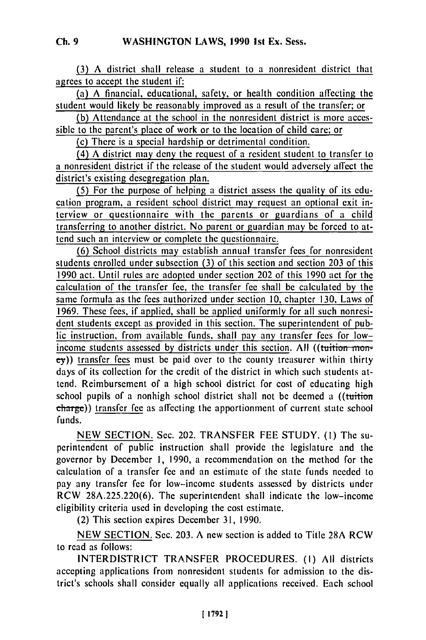(3) A district shall release a student to a nonresident district that agrees to accept the student if:

(a) A financial, educational, safety, or health condition affecting the student would likely be reasonably improved as a result of the transfer; or

(b) Attendance at the school in the nonresident district is more accessible to the parent's place of work or to the location of child care; or

(c) There is a special hardship or detrimental condition.

(4) A district may deny the request of a resident student to transfer to a nonresident district if the release of the student would adversely afrect the district's existing desegregation plan.

(5) For the purpose of helping a district assess the quality of its education program, a resident school district may request an optional exit interview or questionnaire with the parents or guardians of a child transferring to another district. No parent or guardian may be forced to attend such an interview or complete the questionnaire.

(6) School districts may establish annual transfer fees for nonresident students enrolled under subsection (3) of this section and section 203 of this 1990 act. Until rules are adopted under section 202 of this 1990 act for the calculation of the transfer fee, the transfer fee shall be calculated by the same formula as the fees authorized under section 10, chapter 130, Laws of 1969. These fees, if applied, shall be applied uniformly for all such nonresident students except as provided in this section. The superintendent of public instruction, from available funds, shall pay any transfer fees for lowincome students assessed by districts under this section. All ((tuition  $m$ on**ey))** transfer fees must be paid over to the county treasurer within thirty days of its collection for the credit of the district in which such students attend. Reimbursement of a high school district for cost of educating high school pupils of a nonhigh school district shall not be deemed a ((tuition charge)) transfer fee as affecting the apportionment of current state school funds.

NEW SECTION. Sec. 202. TRANSFER FEE STUDY. (I) The superintendent of public instruction shall provide the legislature and the governor by December 1, 1990, a recommendation on the method for the calculation of a transfer fee and an estimate of the state funds needed to pay any transfer fee for low-income students assessed by districts under RCW 28A.225.220(6). The superintendent shall indicate the low-income eligibility criteria used in developing the cost estimate.

(2) This section expires December 31, 1990.

NEW SECTION. Sec. 203. A new section is added to Title 28A RCW to read as follows:

INTERDISTRICT TRANSFER PROCEDURES. (I) All districts accepting applications from nonresident students for admission to the district's schools shall consider equally all applications received. Each school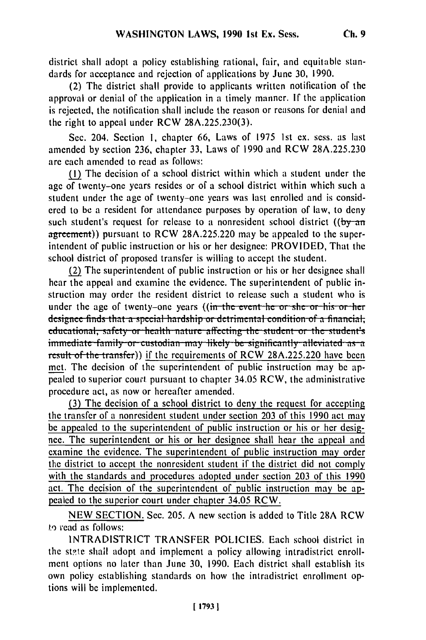district shall adopt a policy establishing rational, fair, and equitable standards for acceptance and rejection of applications by June 30, 1990.

(2) The district shall provide to applicants written notification of the approval or denial of the application in a timely manner. If the application is rejected, the notification shall include the reason or reasons for denial and the right to appeal under RCW  $28A.225.230(3)$ .

Sec. 204. Section I, chapter 66, Laws of 1975 1st ex. sess. as last amended by section 236, chapter 33, Laws of 1990 and RCW 28A.225.230 are each amended to read as follows:

(1) The decision of a school district within which a student under the age of twenty-one years resides or of a school district within which such a student under the age of twenty-one years was last enrolled and is considered to be a resident for attendance purposes by operation of law, to deny such student's request for release to a nonresident school district ( $\frac{by - an}{y}$ agreement)) pursuant to RCW 28A.225.220 may be appealed to the superintendent of public instruction or his or her designee: PROVIDED, That the school district of proposed transfer is willing to accept the student.

(2) The superintendent of public instruction or his or her designee shall hear the appeal and examine the evidence. The superintendent of public instruction may order the resident district to release such a student who is under the age of twenty-one years ((in the event he or she or his or her designee finds that a special hardship or detrimental condition of a financial, educational, safety or health nature affecting the student or the student's immediate family or custodian may likely be significantly alleviated as a result of the transfer)) if the requirements of RCW 28A.225.220 have been met. The decision of the superintendent of public instruction may be appealed to superior court pursuant to chapter 34.05 RCW, the administrative procedure act, as now or hereafter amended.

(3) The decision of a school district to deny the request for accepting the transfer of a nonresident student under section 203 of this 1990 act may be appealed to the superintendent of public instruction or his or her designee. The superintendent or his or her designee shall hear the appeal and examine the evidence. The superintendent of public instruction may order the district to accept the nonresident student if the district did not comply with the standards and procedures adopted under section 203 of this 1990 act. The decision of the superintendent of public instruction may be appealed to the superior court under chapter 34.05 RCW.

NEW SECTION. Sec. 205. A new section is added to Title 28A RCW to read as follows:

INTRADISTRICT TRANSFER POLICIES. Each school district in the state shall adopt and implement a policy allowing intradistrict enrollment options no later than June 30, 1990. Each district shall establish its own policy establishing standards on how the intradistrict enrollment options will be implemented.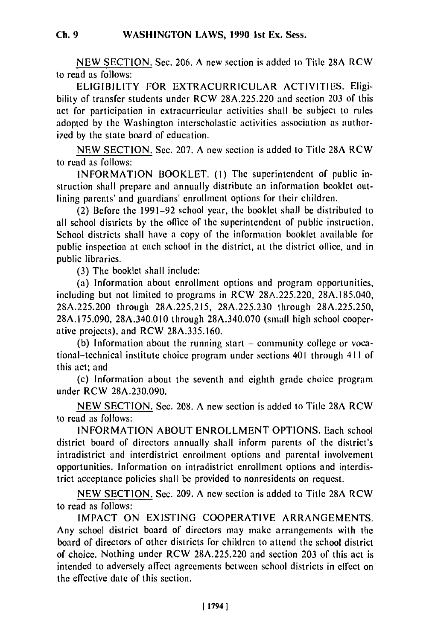NEW SECTION. Sec. 206. **A** new section is added to Title **28A** RCW to read as follows:

ELIGIBILITY FOR EXTRACURRICULAR ACTIVITIES. Eligibility of transfer students under RCW 28A.225.220 and section 203 of this act for participation in extracurricular activities shall be subject to rules adopted by the Washington interscholastic activities association as authorized by the state board of education.

NEW SECTION. Sec. 207. A new section is added to Title 28A RCW to read as follows:

INFORMATION BOOKLET. (I) The superintendent of public instruction shall prepare and annually distribute an information booklet outlining parents' and guardians' enrollment options for their children.

(2) Before the 1991-92 school year, the booklet shall be distributed to all school districts by the ollice of the superintendent of public instruction. School districts shall have a copy of the information booklet available for public inspection at each school in the district, at the district ollice, and in public libraries.

(3) The booklet shall include:

(a) Information about enrollment options and program opportunities, including but not limited to programs in RCW 28A.225.220, 28A.185.040, 28A.225.200 through 28A.225.215, 28A.225.230 through 28A.225.250, 28A.175.090, 28A.340.010 through 28A.340.070 (small high school cooperative projects), and RCW 28A.335.160.

(b) Information about the running start – community college or vocational-technical institute choice program under sections 401 through 411 of this act; and

(c) Information about the seventh and eighth grade choice program under RCW 28A.230.090.

NEW SECTION. Sec. 208. A new section is added to Title 28A RCW to read as follows:

INFORMATION ABOUT ENROLLMENT OPTIONS. Each school district board of directors annually shall inform parents of the district's intradistrict and interdistrict enrollment options and parental involvement opportunities. Information on intradistrict enrollment options and interdistrict acceptance policies shall be provided to nonresidents on request.

NEW SECTION. Sec. 209. A new section is added to Title 28A RCW to read as follows:

IMPACT ON EXISTING COOPERATIVE ARRANGEMENTS. Any school district board of directors may make arrangements with the board of directors of other districts for children to attend the school district of choice. Nothing under RCW 28A.225.220 and section 203 of this act is intended to adversely affect agreements between school districts in effect on the effective date of this section.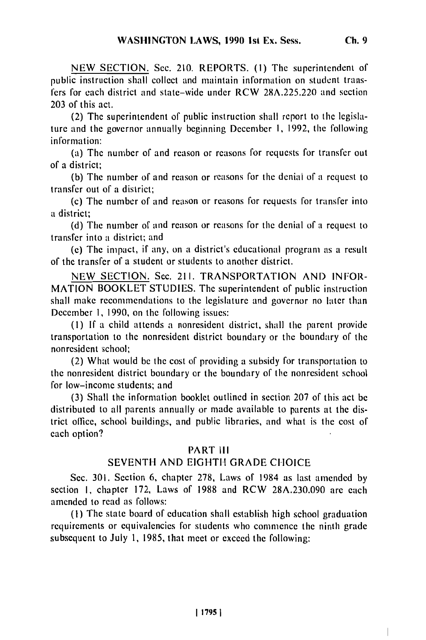NEW SECTION. Sec. 210. REPORTS. **(I)** The superintendent of public instruction shall collect and maintain information on student transfers for each district and state-wide under RCW 28A.225.220 and section 203 of this act.

(2) The superintendent of public instruction shall report to the legislature and the governor annually beginning December **1,** 1992, the following information:

(a) The number of and reason or reasons for requests for transfer out of a district;

(b) The number of and reason or reasons for the denial of a request to transfer out of a district;

(c) The number of and reason or reasons for requests for transfer into a district;

(d) The number of and reason or reasons for the denial of a request to transfer into a district; and

(e) The impact, if any, on a district's educational program as a result of the transfer of a student or students to another district.

NEW SECTION. Sec. 211. TRANSPORTATION **AND** INFOR-MATION BOOKLET STUDIES. The superintendent of public instruction shall make recommendations to the legislature and governor no later than December **1,** 1990, on the following issues:

(I) **If** a child attends a nonresident district, shall the parent provide transportation to the nonresident district boundary or the boundary of the nonresident school;

(2) What would be the cost of providing a subsidy for transportation to the nonresident district boundary or the boundary of the nonresident school for low-income students; and

(3) Shall the information booklet outlined in section 207 of this act be distributed to all parents annually or made available to parents at the district office, school buildings, and public libraries, and what is the cost of each option?

## PART **III**

## SEVENTH AND EIGHTH GRADE CHOICE

Sec. 301. Section 6, chapter 278, Laws of 1984 as last amended by section I, chapter 172, Laws of 1988 and RCW 28A.230.090 are each amended to read as follows:

(I) The state board of education shall establish high school graduation requirements or equivalencies for students who commence the ninth grade subsequent to July 1, 1985, that meet or exceed the following: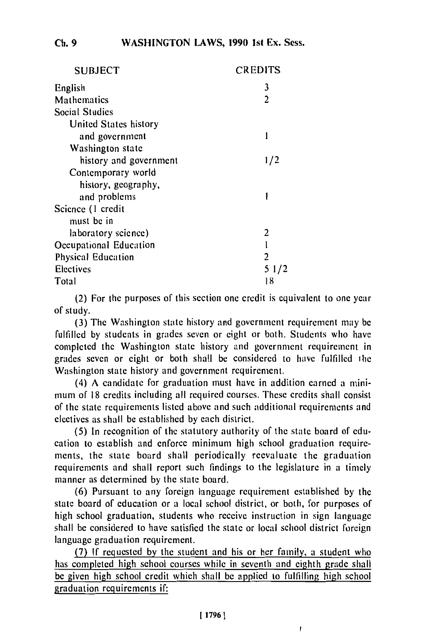| <b>SUBJECT</b>            | CREDITS |
|---------------------------|---------|
| English                   | 3       |
| Mathematics               | 2       |
| <b>Social Studies</b>     |         |
| United States history     |         |
| and government            |         |
| Washington state          |         |
| history and government    | 1/2     |
| Contemporary world        |         |
| history, geography,       |         |
| and problems              |         |
| Science (1 credit         |         |
| must be in                |         |
| laboratory science)       | 2       |
| Occupational Education    |         |
| <b>Physical Education</b> | 2       |
| Electives                 | 51/2    |
| Total                     | 18      |

(2) For the purposes of this section one credit is equivalent to one year of study.

(3) The Washington state history and government requirement may be fulfilled by students in grades seven or eight or both. Students who have completed the Washington state history and government requirement in grades seven or eight or both shall be considered to have fulfilled the Washington state history and government requirement.

(4) A candidate for graduation must have in addition earned a minimum of 18 credits including all required courses. These credits shall consist of the state requirements listed above and such additional requirements and electives as shall be established by each district.

(5) In recognition of the statutory authority of the state board of education to establish and enforce minimum high school graduation requirements, the state board shall periodically reevaluate the graduation ments, the state board shall perfodieally reevaluate the graduation requirements and shall report such midi (6) Pursuant to any foreign language requirement established by the

(b) Pursuant to any foreign language requirement established by the state board of education or a local school district, or both, for purposes of high school graduation, students who receive instruction in sign language shall be considered to have satisfied the state or local school district foreign language graduation requirement.

(7) If requested by the student and his or her family, a student who has completed high school courses while in seventh and eighth grade shall be given high school credit which shall be applied to fulfilling high school graduation requirements if:

ľ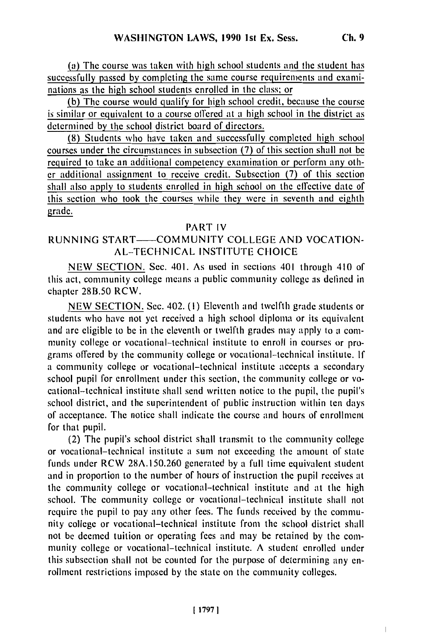(a) The course was taken with high school students and the student has successfully passed by completing the same course requirements and examinations as the high school students enrolled in the class; or

(b) The course would qualify for high school credit, because the course is similar or equivalent to a course offered at a high school in the district as determined by the school district board of directors.

**(8)** Students who have taken and successfully completed high school courses under the circumstances in subsection **(7)** of this section shall not be required to take an additional competency examination or perform any other additional assignment to receive credit. Subsection **(7)** of this section shall also apply to students enrolled in high school on the effective date of this section who took the courses while they were in seventh and eighth grade.

## PART IV

## RUNNING START— COMMUNITY COLLEGE AND VOCATION-AL-TECHNICAL INSTITUTE CHOICE

NEW SECTION. Sec. 401. As used in sections 401 through 410 of this act, community college means a public community college as defined in chapter 28B.50 RCW.

NEW SECTION. Sec. 402. (I) Eleventh and twelfth grade students or students who have not yet received a high school diploma or its equivalent and are eligible to be in the eleventh or twelfth grades may apply to a community college or vocational-technical institute to enroll in courses or programs offered by the community college or vocational-technical institute. If a community college or vocational-technical institute accepts a secondary school pupil for enrollment under this section, the community college or vocational-technical institute shall send written notice to the pupil, the pupil's school district, and the superintendent of public instruction within ten days of acceptance. The notice shall indicate the course and hours of enrollment for that pupil.

(2) The pupil's school district shall transmit to the community college or vocational-technical institute a sum not exceeding the amount of state funds under RCW 28A. 150.260 generated by a full time equivalent student and in proportion to the number of hours of instruction the pupil receives at the community college or vocational-technical institute and at the high school. The community college or vocational-technical institute shall not require the pupil to pay any other fees. The funds received by the community college or vocational-technical institute from the school district shall not be deemed tuition or operating fees and may be retained by the community college or vocational-technical institute. A student enrolled under this subsection shall not be counted for the purpose of determining any enrollment restrictions imposed by the state on the community colleges.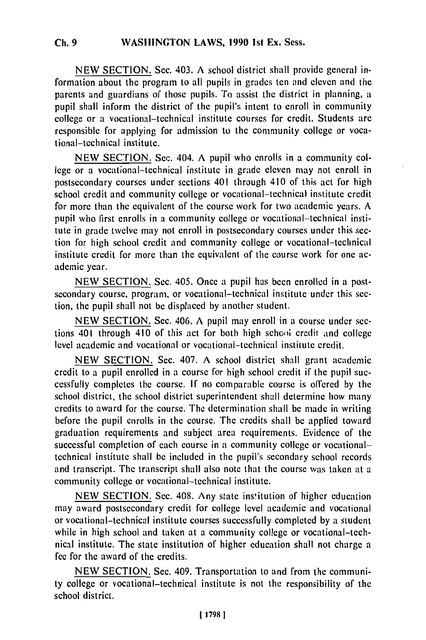NEW SECTION. Sec. 403. **A** school district shall provide general information about the program to all pupils in grades ten and eleven and the parents and guardians of those pupils. To assist the district in planning, a pupil shall inform the district of the pupil's intent to enroll in community college or a vocational-technical institute courses for credit. Students are responsible for applying for admission to the community college or vocational-technical institute.

NEW SECTION. Sec. 404. A pupil who enrolls in a community college or a vocational-technical institute in grade eleven may not enroll in postsecondary courses under sections 401 through 410 of this act for high school credit and community college or vocational-technical institute credit for more than the equivalent of the course work for two academic years. A pupil who first enrolls in a community college or vocational-technical institute in grade twelve may not enroll in postsecondary courses under this section for high school credit and community college or vocational-technical institute credit for more than the equivalent of the course work for one academic year.

NEW SECTION. Sec. 405. Once a pupil has been enrolled in a postsecondary course, program, or vocational-technical institute under this section, the pupil shall not be displaced by another student.

NEW SECTION. Sec. 406. A pupil may enroll in a course under sections 401 through 410 of this act for both high schooi credit and college level academic and vocational or vocational-technical institute credit.

NEW SECTION. Sec. 407. A school district shall grant academic credit to a pupil enrolled in a course for high school credit if the pupil successfully completes the course. If no comparable course is offered by the school district, the school district superintendent shall determine how many credits to award for the course. The determination shall be made in writing before the pupil enrolls in the course. The credits shall be applied toward graduation requirements and subject area requirements. Evidence of the successful completion of each course in a community college or vocationaltechnical institute shall be included in the pupil's secondary school records and transcript. The transcript shall also note that the course was taken at a community college or vocational-technical institute.

NEW SECTION. Sec. 408. Any state ins'itution of higher education may award postsecondary credit for college level academic and vocational or vocational-technical institute courses successfully completed by a student while in high school and taken at a community college or vocational-technical institute. The state institution of higher education shall not charge a fee for the award of the credits.

NEW SECTION. Sec. 409. Transportation to and from the community college or vocational-technical institute is not the responsibility of the school district.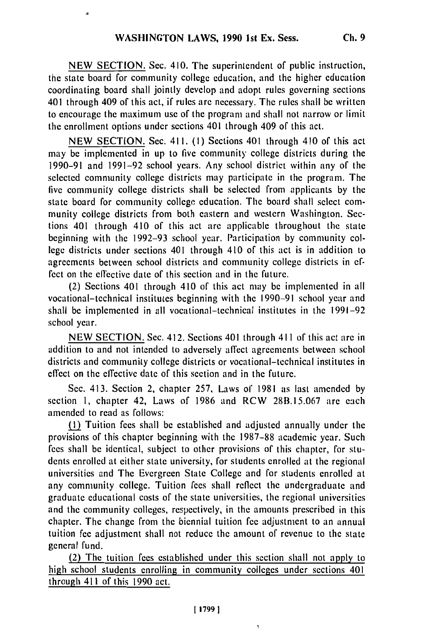NEW SECTION. Sec. 410. The superintendent of public instruction, the state board for community college education, and the higher education coordinating board shall jointly develop and adopt rules governing sections 401 through 409 of this act, if rules are necessary. The rules shall be written to encourage the maximum use of the program and shall not narrow or limit the enrollment options under sections 401 through 409 of this act.

NEW SECTION. Sec. 411. (I) Sections 401 through 410 of this act may be implemented in up to five community college districts during the 1990-91 and 1991-92 school years. Any school district within any of the selected community college districts may participate in the program. The five community college districts shall be selected from applicants by the state board for community collegc education. The board shall select community college districts from both eastern and western Washington. Sections 401 through 410 of this act are applicable throughout the state beginning with the 1992-93 school year. Participation by community college districts under sections 401 through 410 of this act is in addition to agreements between school districts and community college districts in effect on the effective date of this section and in the future.

(2) Sections 401 through 410 of this act may be implemented in all vocational-technical institutes beginning with the 1990-91 school year and shall be implemented in all vocational-technical institutes in the 1991-92 school year.

NEW SECTION. Sec. 412. Sections 401 through 411 of this act are in addition to and not intended to adversely affect agreements between school districts and community college districts or vocational-technical institutes in effect on the effective date of this section and in the future.

Sec. 413. Section 2, chapter 257, Laws of 1981 as last amended by section **1,** chapter 42, Laws of 1986 and RCW 28B.15.067 are each amended to read as follows:

I) Tuition fees shall be established and adjusted annually under the provisions of this chapter beginning with the 1987-88 academic year. Such fees shall be identical, subject to other provisions of this chapter, for students enrolled at either state university, for students enrolled at the regional universities and The Evergreen State College and for students enrolled at any community college. Tuition fees shall reflect the undergraduate and graduate educational costs of the state universities, the regional universities and the community colleges, respectively, in the amounts prescribed in this chapter. The change from the biennial tuition fee adjustment to an annual tuition fee adjustment shall not reduce the amount of revenue to the state general fund.

(2) The tuition fees established under this section shall not apply to high school students enrolling in community colleges under sections 401 through 411 of this 1990 act.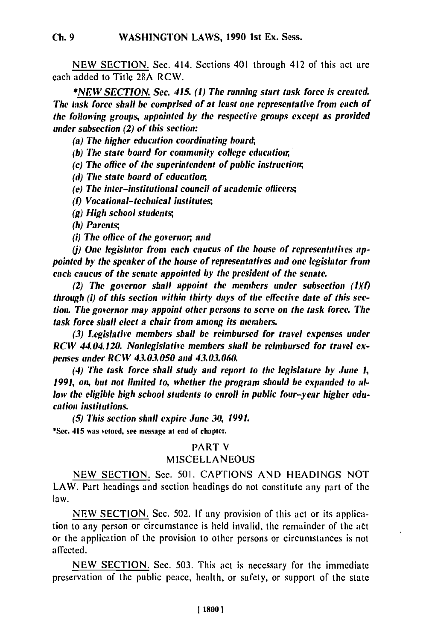NEW SECTION. Sec. 414. Sections 401 through 412 of this act are each added to Title 28A RCW.

*\*NE W SECTION. Sec. 415. (1) The running start task force is created. The task force shall be comprised of at least one representative from each of the following groups, appointed by the respective groups except as provided under subsection (2) of this section:*

 $(a)$  The higher education coordinating board;

*(b) The state board for community college educatior,*

*(c) The office of the superintendent of public instruction,*

*(d) The state board of education,*

*(e) The inter-institutional council of academic officers;*

*(t) Vocational-technical institutes;,*

*(g) High school students;*

*(h) Parents;,*

*(i) The office of the governor, and*

(*i*) One legislator from each caucus of the house of representatives ap*pointed by the speaker of the house of representatives and one legislator from each caucus of the senate appointed by the president of the senate.*

*(2) The governor shall appoint the members under subsection (IXI) through (i) of this section within thirty days of the effective date of this section. The governor may appoint other persons to serve on the task force. The task force shall elect a chair from among its members.*

*(3) Legislative members shall be reimbursed for travel expenses under RCW 44.04.120. Nonlegislative members shall be reimbursed for travel expenses under RCW 43.03.050 and 43.03.060.*

*(4) The task force shall study and report to the legislature by June 1, 1991, on, but not limited to, whether the program should be expanded to allow the eligible high school students to enroll in public four-year higher education institutions.*

*(5) This section shall expire June 30, 1991.*  $(3)$  This section shall expire built  $S_{ij}$ 

### PART V

## **MISCELLANEOUS**

**NEW SECTION.** Sec. **501. CAPTIONS AND HEADINGS NOT** LAW. Part headings and section headings do not constitute any part of the law.

**NEW SECTION.** Sec. 502. **If** any provision of this act or its application to any person or circumstance is held invalid, the remainder of the act or the application of the provision to other persons or circumstances is not affected.

**NEW SECTION.** Sec. **503.** This act is necessary for the immediate preservation of the public peace, health, or safety, or support of the state